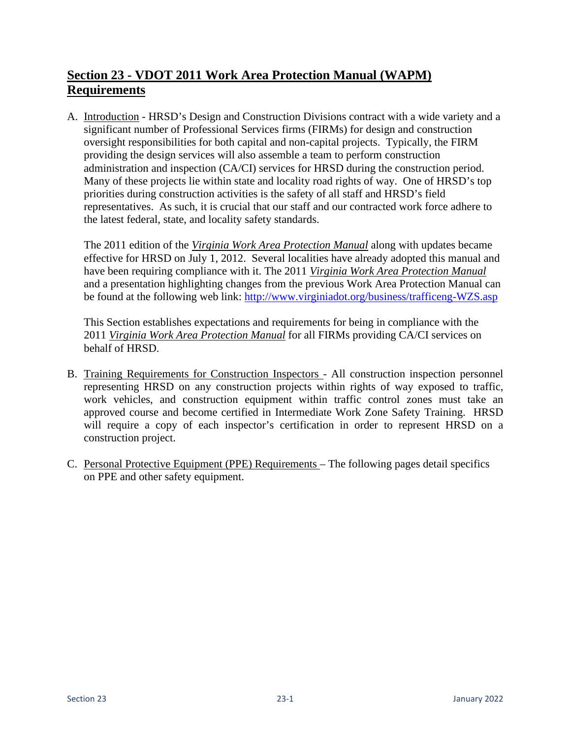## **Section 23 - VDOT 2011 Work Area Protection Manual (WAPM) Requirements**

A. Introduction - HRSD's Design and Construction Divisions contract with a wide variety and a significant number of Professional Services firms (FIRMs) for design and construction oversight responsibilities for both capital and non-capital projects. Typically, the FIRM providing the design services will also assemble a team to perform construction administration and inspection (CA/CI) services for HRSD during the construction period. Many of these projects lie within state and locality road rights of way. One of HRSD's top priorities during construction activities is the safety of all staff and HRSD's field representatives. As such, it is crucial that our staff and our contracted work force adhere to the latest federal, state, and locality safety standards.

The 2011 edition of the *Virginia Work Area Protection Manual* along with updates became effective for HRSD on July 1, 2012. Several localities have already adopted this manual and have been requiring compliance with it. The 2011 *Virginia Work Area Protection Manual* and a presentation highlighting changes from the previous Work Area Protection Manual can be found at the following web link: <http://www.virginiadot.org/business/trafficeng-WZS.asp>

This Section establishes expectations and requirements for being in compliance with the 2011 *Virginia Work Area Protection Manual* for all FIRMs providing CA/CI services on behalf of HRSD.

- B. Training Requirements for Construction Inspectors All construction inspection personnel representing HRSD on any construction projects within rights of way exposed to traffic, work vehicles, and construction equipment within traffic control zones must take an approved course and become certified in Intermediate Work Zone Safety Training. HRSD will require a copy of each inspector's certification in order to represent HRSD on a construction project.
- C. Personal Protective Equipment (PPE) Requirements The following pages detail specifics on PPE and other safety equipment.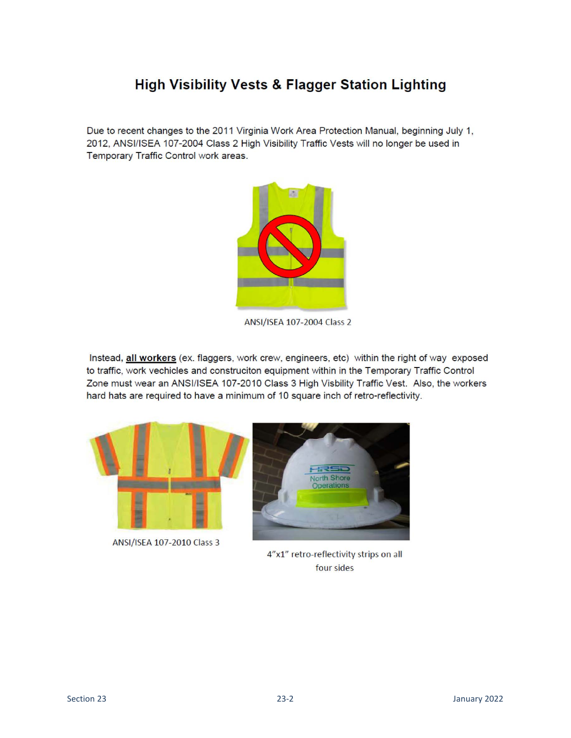## **High Visibility Vests & Flagger Station Lighting**

Due to recent changes to the 2011 Virginia Work Area Protection Manual, beginning July 1, 2012, ANSI/ISEA 107-2004 Class 2 High Visibility Traffic Vests will no longer be used in Temporary Traffic Control work areas.



ANSI/ISEA 107-2004 Class 2

Instead, all workers (ex. flaggers, work crew, engineers, etc) within the right of way exposed to traffic, work vechicles and construciton equipment within in the Temporary Traffic Control Zone must wear an ANSI/ISEA 107-2010 Class 3 High Visbility Traffic Vest. Also, the workers hard hats are required to have a minimum of 10 square inch of retro-reflectivity.



ANSI/ISEA 107-2010 Class 3



4"x1" retro-reflectivity strips on all four sides